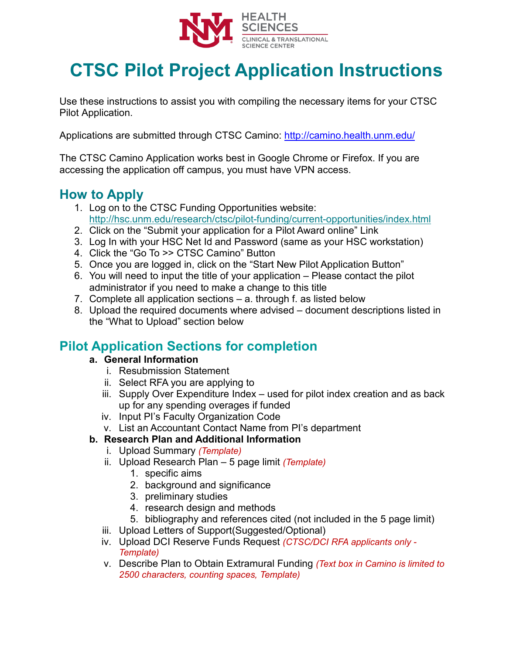

# **CTSC Pilot Project Application Instructions**

Use these instructions to assist you with compiling the necessary items for your CTSC Pilot Application.

Applications are submitted through CTSC Camino:<http://camino.health.unm.edu/>

The CTSC Camino Application works best in Google Chrome or Firefox. If you are accessing the application off campus, you must have VPN access.

# **How to Apply**

- 1. Log on to the CTSC Funding Opportunities website: <http://hsc.unm.edu/research/ctsc/pilot-funding/current-opportunities/index.html>
- 2. Click on the "Submit your application for a Pilot Award online" Link
- 3. Log In with your HSC Net Id and Password (same as your HSC workstation)
- 4. Click the "Go To >> CTSC Camino" Button
- 5. Once you are logged in, click on the "Start New Pilot Application Button"
- 6. You will need to input the title of your application Please contact the pilot administrator if you need to make a change to this title
- 7. Complete all application sections a. through f. as listed below
- 8. Upload the required documents where advised document descriptions listed in the "What to Upload" section below

# **Pilot Application Sections for completion**

## **a. General Information**

- i. Resubmission Statement
- ii. Select RFA you are applying to
- iii. Supply Over Expenditure Index used for pilot index creation and as back up for any spending overages if funded
- iv. Input PI's Faculty Organization Code
- v. List an Accountant Contact Name from PI's department

## **b. Research Plan and Additional Information**

- i. Upload Summary *(Template)*
- ii. Upload Research Plan 5 page limit *(Template)*
	- 1. specific aims
	- 2. background and significance
	- 3. preliminary studies
	- 4. research design and methods
	- 5. bibliography and references cited (not included in the 5 page limit)
- iii. Upload Letters of Support(Suggested/Optional)
- iv. Upload DCI Reserve Funds Request *(CTSC/DCI RFA applicants only Template)*
- v. Describe Plan to Obtain Extramural Funding *(Text box in Camino is limited to 2500 characters, counting spaces, Template)*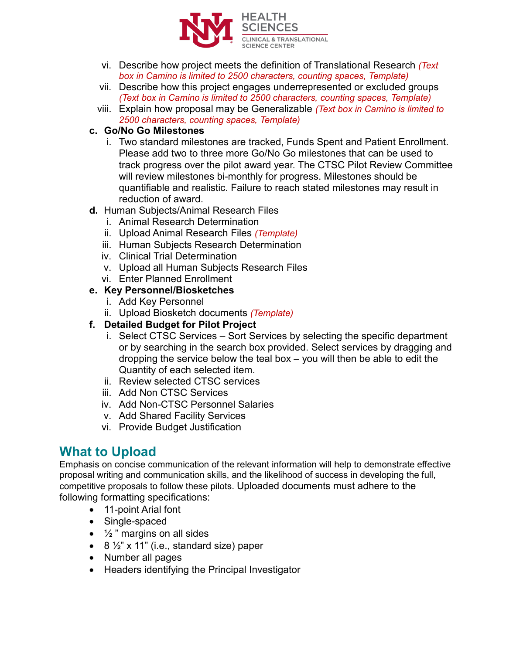

- vi. Describe how project meets the definition of Translational Research *(Text box in Camino is limited to 2500 characters, counting spaces, Template)*
- vii. Describe how this project engages underrepresented or excluded groups *(Text box in Camino is limited to 2500 characters, counting spaces, Template)*
- viii. Explain how proposal may be Generalizable *(Text box in Camino is limited to 2500 characters, counting spaces, Template)*

#### **c. Go/No Go Milestones**

- i. Two standard milestones are tracked, Funds Spent and Patient Enrollment. Please add two to three more Go/No Go milestones that can be used to track progress over the pilot award year. The CTSC Pilot Review Committee will review milestones bi-monthly for progress. Milestones should be quantifiable and realistic. Failure to reach stated milestones may result in reduction of award.
- **d.** Human Subjects/Animal Research Files
	- i. Animal Research Determination
	- ii. Upload Animal Research Files *(Template)*
	- iii. Human Subjects Research Determination
	- iv. Clinical Trial Determination
	- v. Upload all Human Subjects Research Files
	- vi. Enter Planned Enrollment

## **e. Key Personnel/Biosketches**

- i. Add Key Personnel
- ii. Upload Biosketch documents *(Template)*
- **f. Detailed Budget for Pilot Project**
	- i. Select CTSC Services Sort Services by selecting the specific department or by searching in the search box provided. Select services by dragging and dropping the service below the teal box – you will then be able to edit the Quantity of each selected item.
	- ii. Review selected CTSC services
	- iii. Add Non CTSC Services
	- iv. Add Non-CTSC Personnel Salaries
	- v. Add Shared Facility Services
	- vi. Provide Budget Justification

# **What to Upload**

Emphasis on concise communication of the relevant information will help to demonstrate effective proposal writing and communication skills, and the likelihood of success in developing the full, competitive proposals to follow these pilots. Uploaded documents must adhere to the following formatting specifications:

- 11-point Arial font
- Single-spaced
- $\bullet$   $\frac{1}{2}$ " margins on all sides
- $\bullet$  8  $\frac{1}{2}$ " x 11" (i.e., standard size) paper
- Number all pages
- Headers identifying the Principal Investigator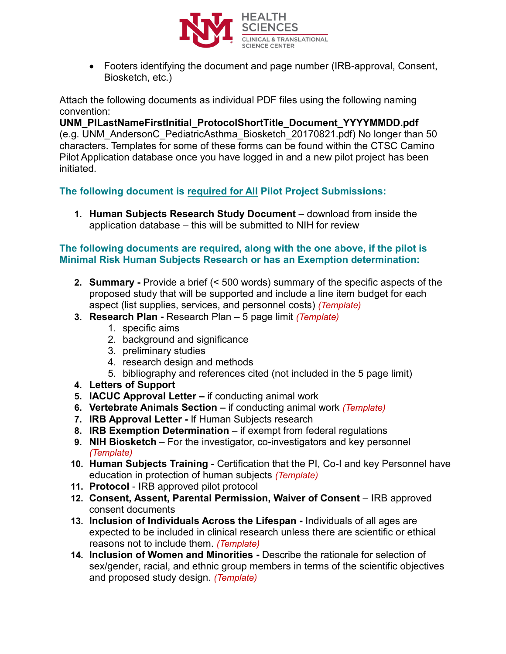

• Footers identifying the document and page number (IRB-approval, Consent, Biosketch, etc.)

Attach the following documents as individual PDF files using the following naming convention:

**UNM\_PILastNameFirstInitial\_ProtocolShortTitle\_Document\_YYYYMMDD.pdf** (e.g. UNM\_AndersonC\_PediatricAsthma\_Biosketch\_20170821.pdf) No longer than 50 characters. Templates for some of these forms can be found within the CTSC Camino Pilot Application database once you have logged in and a new pilot project has been initiated.

## **The following document is required for All Pilot Project Submissions:**

**1. Human Subjects Research Study Document** – download from inside the application database – this will be submitted to NIH for review

#### **The following documents are required, along with the one above, if the pilot is Minimal Risk Human Subjects Research or has an Exemption determination:**

- **2. Summary** Provide a brief (< 500 words) summary of the specific aspects of the proposed study that will be supported and include a line item budget for each aspect (list supplies, services, and personnel costs) *(Template)*
- **3. Research Plan** Research Plan 5 page limit *(Template)*
	- 1. specific aims
	- 2. background and significance
	- 3. preliminary studies
	- 4. research design and methods
	- 5. bibliography and references cited (not included in the 5 page limit)
- **4. Letters of Support**
- **5. IACUC Approval Letter** if conducting animal work
- **6. Vertebrate Animals Section –** if conducting animal work *(Template)*
- **7. IRB Approval Letter** If Human Subjects research
- **8. IRB Exemption Determination**  if exempt from federal regulations
- **9. NIH Biosketch** For the investigator, co-investigators and key personnel *(Template)*
- **10. Human Subjects Training** Certification that the PI, Co-I and key Personnel have education in protection of human subjects *(Template)*
- **11. Protocol** IRB approved pilot protocol
- **12. Consent, Assent, Parental Permission, Waiver of Consent** IRB approved consent documents
- **13. Inclusion of Individuals Across the Lifespan -** Individuals of all ages are expected to be included in clinical research unless there are scientific or ethical reasons not to include them. *(Template)*
- **14. Inclusion of Women and Minorities** Describe the rationale for selection of sex/gender, racial, and ethnic group members in terms of the scientific objectives and proposed study design. *(Template)*